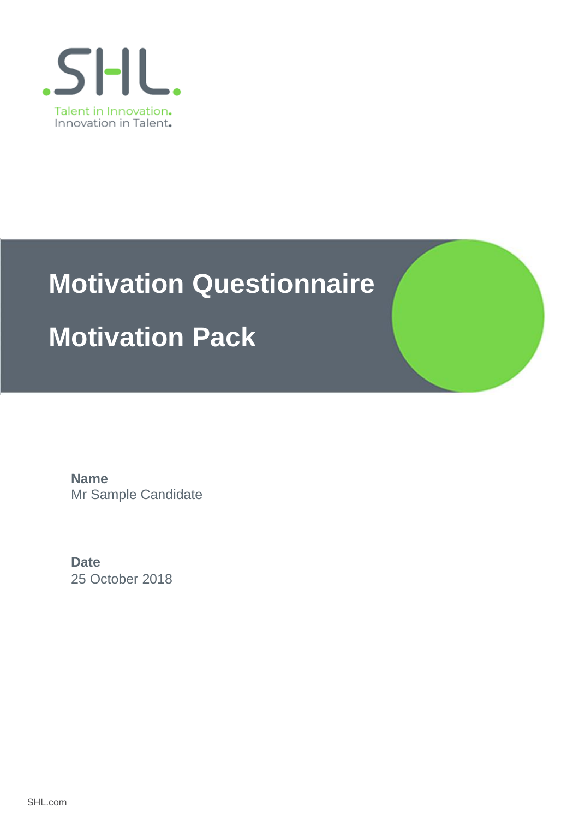

# **Motivation Questionnaire**

## **Motivation Pack**

Mr Sample Candidate **Name**

25 October 2018 **Date**

SHL.com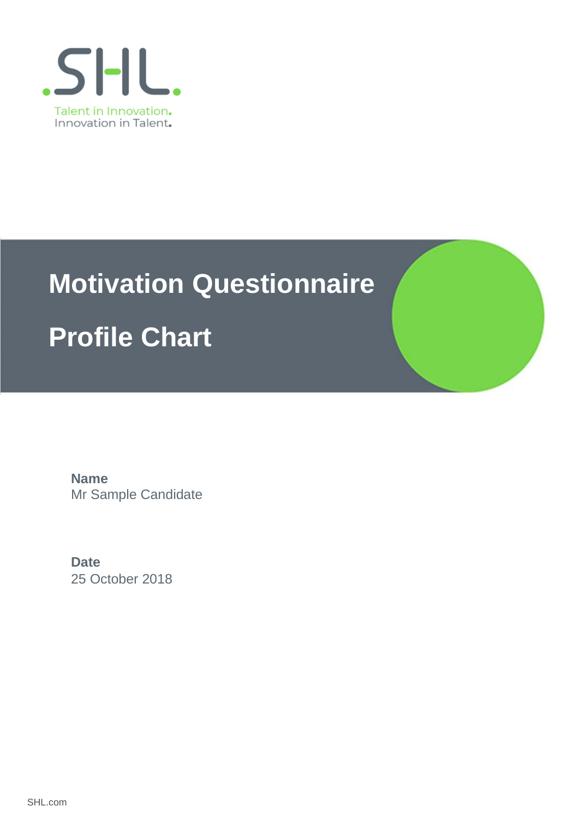

# **Motivation Questionnaire**

## **Profile Chart**

Mr Sample Candidate **Name**

25 October 2018 **Date**

SHL.com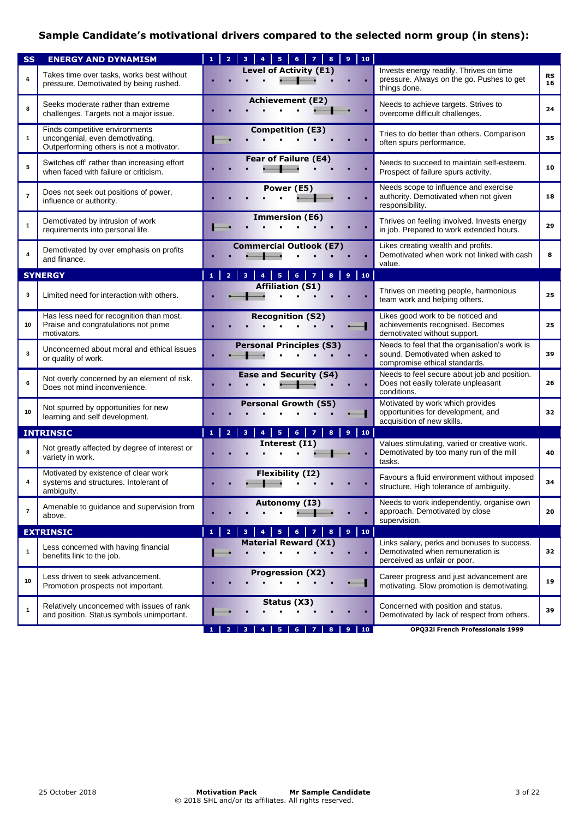## **Sample Candidate's motivational drivers compared to the selected norm group (in stens):**

| <b>SS</b>      | <b>ENERGY AND DYNAMISM</b>                                                                                    | 10<br>2<br>5<br>6                                                                                                                                              |                                                                                                                    |                 |
|----------------|---------------------------------------------------------------------------------------------------------------|----------------------------------------------------------------------------------------------------------------------------------------------------------------|--------------------------------------------------------------------------------------------------------------------|-----------------|
| 6              | Takes time over tasks, works best without<br>pressure. Demotivated by being rushed.                           | <b>Level of Activity (E1)</b>                                                                                                                                  | Invests energy readily. Thrives on time<br>pressure. Always on the go. Pushes to get<br>things done.               | <b>RS</b><br>16 |
| 8              | Seeks moderate rather than extreme<br>challenges. Targets not a major issue.                                  | <b>Achievement (E2)</b>                                                                                                                                        | Needs to achieve targets. Strives to<br>overcome difficult challenges.                                             | 24              |
| $\mathbf{1}$   | Finds competitive environments<br>uncongenial, even demotivating.<br>Outperforming others is not a motivator. | <b>Competition (E3)</b>                                                                                                                                        | Tries to do better than others. Comparison<br>often spurs performance.                                             | 35              |
| 5              | Switches off' rather than increasing effort<br>when faced with failure or criticism.                          | Fear of Failure (E4)                                                                                                                                           | Needs to succeed to maintain self-esteem.<br>Prospect of failure spurs activity.                                   | 10              |
| $\overline{7}$ | Does not seek out positions of power,<br>influence or authority.                                              | Power (E5)                                                                                                                                                     | Needs scope to influence and exercise<br>authority. Demotivated when not given<br>responsibility.                  | 18              |
| $\mathbf{1}$   | Demotivated by intrusion of work<br>requirements into personal life.                                          | <b>Immersion (E6)</b>                                                                                                                                          | Thrives on feeling involved. Invests energy<br>in job. Prepared to work extended hours.                            | 29              |
| 4              | Demotivated by over emphasis on profits<br>and finance.                                                       | <b>Commercial Outlook (E7)</b>                                                                                                                                 | Likes creating wealth and profits.<br>Demotivated when work not linked with cash<br>value.                         | 8               |
|                | <b>SYNERGY</b>                                                                                                | ${\bf 5}$<br>$6 \mid 7$<br>$10-1$<br>2 <sup>1</sup><br>$\bf{8}$<br>$\overline{9}$<br>$\mathbf{1}$<br>3<br>$\overline{4}$                                       |                                                                                                                    |                 |
| 3              | Limited need for interaction with others.                                                                     | <b>Affiliation (S1)</b>                                                                                                                                        | Thrives on meeting people, harmonious<br>team work and helping others.                                             | 25              |
| 10             | Has less need for recognition than most.<br>Praise and congratulations not prime<br>motivators.               | <b>Recognition (S2)</b>                                                                                                                                        | Likes good work to be noticed and<br>achievements recognised. Becomes<br>demotivated without support.              | 25              |
| 3              | Unconcerned about moral and ethical issues<br>or quality of work.                                             | <b>Personal Principles (S3)</b>                                                                                                                                | Needs to feel that the organisation's work is<br>sound. Demotivated when asked to<br>compromise ethical standards. | 39              |
| 6              | Not overly concerned by an element of risk.<br>Does not mind inconvenience.                                   | <b>Ease and Security (S4)</b>                                                                                                                                  | Needs to feel secure about job and position.<br>Does not easily tolerate unpleasant<br>conditions.                 | 26              |
| 10             | Not spurred by opportunities for new<br>learning and self development.                                        | <b>Personal Growth (S5)</b>                                                                                                                                    | Motivated by work which provides<br>opportunities for development, and<br>acquisition of new skills.               | 32              |
|                | <b>INTRINSIC</b>                                                                                              | $\overline{\mathbf{5}}$<br>$\overline{2}$<br>$6-1$<br>$\mathbf{1}$<br>$\overline{\mathbf{3}}$<br>$\overline{z}$<br>8<br>9<br>10 <sub>1</sub><br>$\overline{4}$ |                                                                                                                    |                 |
| 8              | Not greatly affected by degree of interest or<br>variety in work.                                             | Interest (I1)                                                                                                                                                  | Values stimulating, varied or creative work.<br>Demotivated by too many run of the mill<br>tasks.                  | 40              |
| 4              | Motivated by existence of clear work<br>systems and structures. Intolerant of<br>ambiguity.                   | <b>Flexibility (I2)</b>                                                                                                                                        | Favours a fluid environment without imposed<br>structure. High tolerance of ambiguity.                             | 34              |
| $\overline{7}$ | Amenable to guidance and supervision from<br>above.                                                           | Autonomy (I3)                                                                                                                                                  | Needs to work independently, organise own<br>approach. Demotivated by close<br>supervision.                        | 20              |
|                | <b>EXTRINSIC</b>                                                                                              | $\overline{2}$<br>5<br>9<br>10 <sub>1</sub><br>$\mathbf{1}$<br>3<br>6<br>$\overline{z}$<br>$\overline{4}$<br>8                                                 |                                                                                                                    |                 |
| $\mathbf{1}$   | Less concerned with having financial<br>benefits link to the job.                                             | <b>Material Reward (X1)</b>                                                                                                                                    | Links salary, perks and bonuses to success.<br>Demotivated when remuneration is<br>perceived as unfair or poor.    | 32              |
| 10             | Less driven to seek advancement.<br>Promotion prospects not important.                                        | <b>Progression (X2)</b>                                                                                                                                        | Career progress and just advancement are<br>motivating. Slow promotion is demotivating.                            | 19              |
| 1              | Relatively unconcerned with issues of rank<br>and position. Status symbols unimportant.                       | Status (X3)                                                                                                                                                    | Concerned with position and status.<br>Demotivated by lack of respect from others.                                 | 39              |
|                |                                                                                                               | 5<br>6<br>10 <sub>1</sub><br>4                                                                                                                                 | OPQ32i French Professionals 1999                                                                                   |                 |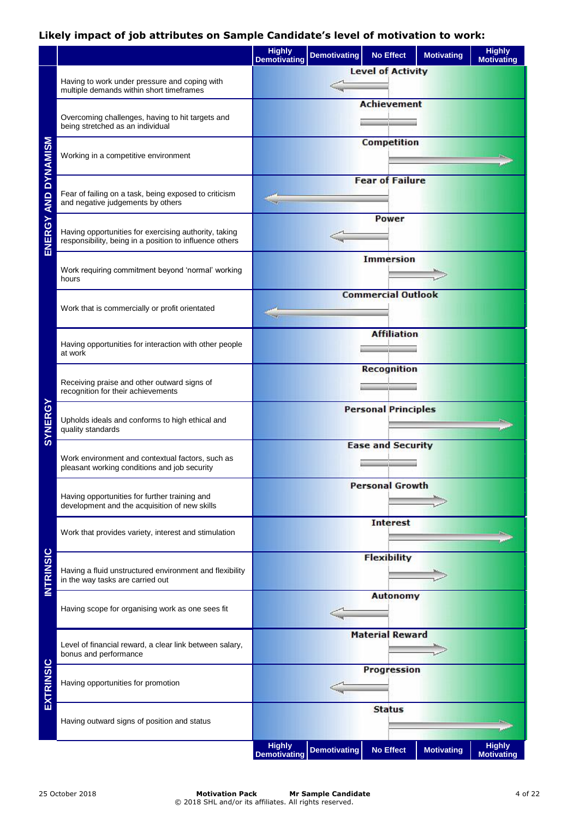## **Likely impact of job attributes on Sample Candidate's level of motivation to work:**

|                     |                                                                                                                  | <b>Highly</b><br><b>Demotivating</b> | <b>Demotivating</b> | <b>No Effect</b>           | <b>Motivating</b> | <b>Highly</b><br><b>Motivating</b> |
|---------------------|------------------------------------------------------------------------------------------------------------------|--------------------------------------|---------------------|----------------------------|-------------------|------------------------------------|
|                     | Having to work under pressure and coping with<br>multiple demands within short timeframes                        |                                      |                     | <b>Level of Activity</b>   |                   |                                    |
| ENERGY AND DYNAMISM | Overcoming challenges, having to hit targets and<br>being stretched as an individual                             |                                      |                     | <b>Achievement</b>         |                   |                                    |
|                     | Working in a competitive environment                                                                             |                                      |                     | <b>Competition</b>         |                   |                                    |
|                     | Fear of failing on a task, being exposed to criticism<br>and negative judgements by others                       |                                      |                     | <b>Fear of Failure</b>     |                   |                                    |
|                     | Having opportunities for exercising authority, taking<br>responsibility, being in a position to influence others | Power                                |                     |                            |                   |                                    |
|                     | Work requiring commitment beyond 'normal' working<br>hours                                                       |                                      |                     | <b>Immersion</b>           |                   |                                    |
|                     | Work that is commercially or profit orientated                                                                   |                                      |                     | <b>Commercial Outlook</b>  |                   |                                    |
|                     | Having opportunities for interaction with other people<br>at work                                                |                                      |                     | <b>Affiliation</b>         |                   |                                    |
|                     | Receiving praise and other outward signs of<br>recognition for their achievements                                |                                      |                     | <b>Recognition</b>         |                   |                                    |
| SYNERGY             | Upholds ideals and conforms to high ethical and<br>quality standards                                             |                                      |                     | <b>Personal Principles</b> |                   |                                    |
|                     | Work environment and contextual factors, such as<br>pleasant working conditions and job security                 |                                      |                     | <b>Ease and Security</b>   |                   |                                    |
|                     | Having opportunities for further training and<br>development and the acquisition of new skills                   |                                      |                     | <b>Personal Growth</b>     |                   |                                    |
|                     | Work that provides variety, interest and stimulation                                                             |                                      |                     | <b>Interest</b>            |                   |                                    |
| <b>INTRINSIC</b>    | Having a fluid unstructured environment and flexibility<br>in the way tasks are carried out                      |                                      |                     | <b>Flexibility</b>         |                   |                                    |
|                     | Having scope for organising work as one sees fit                                                                 |                                      |                     | <b>Autonomy</b>            |                   |                                    |
| EXTRINSIC           | Level of financial reward, a clear link between salary,<br>bonus and performance                                 |                                      |                     | <b>Material Reward</b>     |                   |                                    |
|                     | Having opportunities for promotion                                                                               |                                      |                     | Progression                |                   |                                    |
|                     | Having outward signs of position and status                                                                      |                                      |                     | <b>Status</b>              |                   |                                    |
|                     |                                                                                                                  | <b>Highly</b><br><b>Demotivating</b> | <b>Demotivating</b> | <b>No Effect</b>           | <b>Motivating</b> | <b>Highly</b><br><b>Motivating</b> |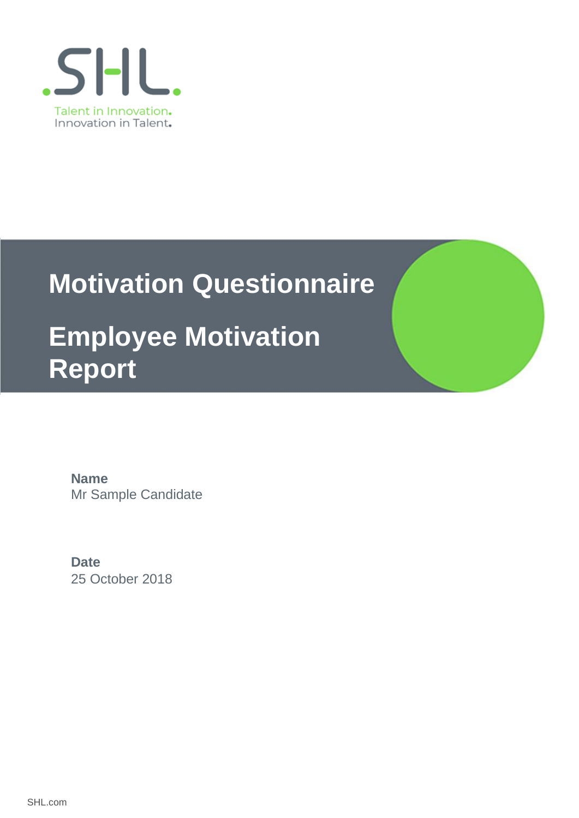

# **Motivation Questionnaire**

## **Employee Motivation Report**

Mr Sample Candidate **Name**

25 October 2018 **Date**

SHL.com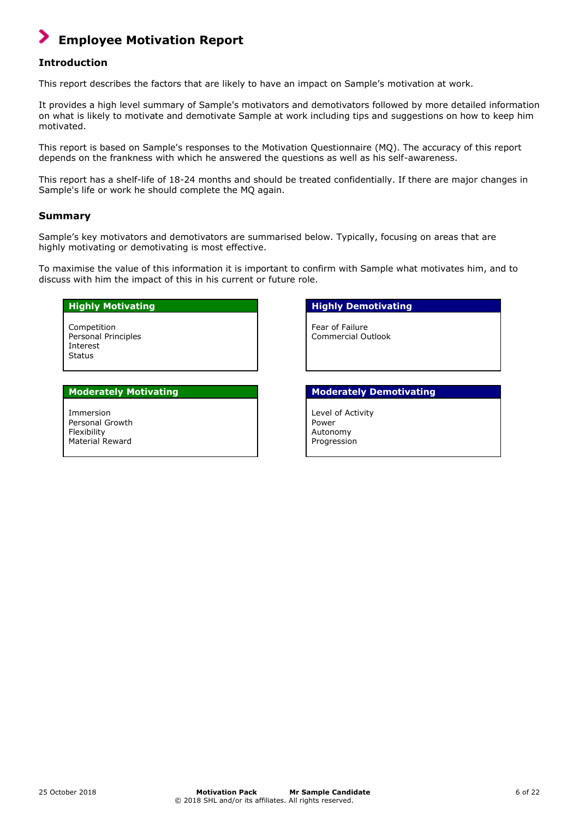## **Employee Motivation Report**

### **Introduction**

This report describes the factors that are likely to have an impact on Sample's motivation at work.

It provides a high level summary of Sample's motivators and demotivators followed by more detailed information on what is likely to motivate and demotivate Sample at work including tips and suggestions on how to keep him motivated.

This report is based on Sample's responses to the Motivation Questionnaire (MQ). The accuracy of this report depends on the frankness with which he answered the questions as well as his self-awareness.

This report has a shelf-life of 18-24 months and should be treated confidentially. If there are major changes in Sample's life or work he should complete the MQ again.

### **Summary**

Sample's key motivators and demotivators are summarised below. Typically, focusing on areas that are highly motivating or demotivating is most effective.

To maximise the value of this information it is important to confirm with Sample what motivates him, and to discuss with him the impact of this in his current or future role.

### **Highly Motivating Highly Demotivating**

Competition Personal Principles Interest Status

Immersion Personal Growth Flexibility Material Reward

Fear of Failure Commercial Outlook

#### **Moderately Motivating Moderately Demotivating**

Level of Activity Power Autonomy Progression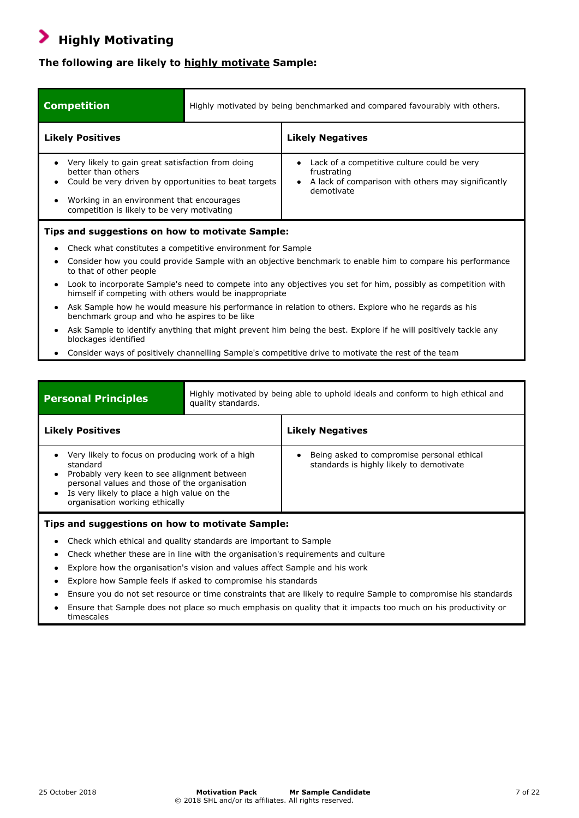#### **Highly Motivating** ⋗

## **The following are likely to highly motivate Sample:**

| <b>Competition</b>                                                                                                                                                                                                                        | Highly motivated by being benchmarked and compared favourably with others.                                                                                                |                                                                                                                                |  |
|-------------------------------------------------------------------------------------------------------------------------------------------------------------------------------------------------------------------------------------------|---------------------------------------------------------------------------------------------------------------------------------------------------------------------------|--------------------------------------------------------------------------------------------------------------------------------|--|
| <b>Likely Positives</b>                                                                                                                                                                                                                   |                                                                                                                                                                           | <b>Likely Negatives</b>                                                                                                        |  |
| Very likely to gain great satisfaction from doing<br>$\bullet$<br>better than others<br>Could be very driven by opportunities to beat targets<br>Working in an environment that encourages<br>competition is likely to be very motivating |                                                                                                                                                                           | Lack of a competitive culture could be very<br>frustrating<br>A lack of comparison with others may significantly<br>demotivate |  |
| Tips and suggestions on how to motivate Sample:                                                                                                                                                                                           |                                                                                                                                                                           |                                                                                                                                |  |
|                                                                                                                                                                                                                                           | Check what constitutes a competitive environment for Sample                                                                                                               |                                                                                                                                |  |
| ٠<br>to that of other people                                                                                                                                                                                                              | Consider how you could provide Sample with an objective benchmark to enable him to compare his performance                                                                |                                                                                                                                |  |
| $\bullet$                                                                                                                                                                                                                                 | Look to incorporate Sample's need to compete into any objectives you set for him, possibly as competition with<br>himself if competing with others would be inappropriate |                                                                                                                                |  |
| $\bullet$<br>benchmark group and who he aspires to be like                                                                                                                                                                                | Ask Sample how he would measure his performance in relation to others. Explore who he regards as his                                                                      |                                                                                                                                |  |
| $\bullet$<br>blockages identified                                                                                                                                                                                                         | Ask Sample to identify anything that might prevent him being the best. Explore if he will positively tackle any                                                           |                                                                                                                                |  |
|                                                                                                                                                                                                                                           | Consider ways of positively channelling Sample's competitive drive to motivate the rest of the team                                                                       |                                                                                                                                |  |

| <b>Personal Principles</b> |
|----------------------------|
|                            |

Highly motivated by being able to uphold ideals and conform to high ethical and quality standards.

| Being asked to compromise personal ethical<br>Very likely to focus on producing work of a high<br>standards is highly likely to demotivate<br>standard<br>Probably very keen to see alignment between<br>personal values and those of the organisation<br>Is very likely to place a high value on the<br>organisation working ethically | <b>Likely Positives</b> | <b>Likely Negatives</b> |
|-----------------------------------------------------------------------------------------------------------------------------------------------------------------------------------------------------------------------------------------------------------------------------------------------------------------------------------------|-------------------------|-------------------------|
|                                                                                                                                                                                                                                                                                                                                         |                         |                         |

### **Tips and suggestions on how to motivate Sample:**

- Check which ethical and quality standards are important to Sample
- Check whether these are in line with the organisation's requirements and culture
- Explore how the organisation's vision and values affect Sample and his work
- Explore how Sample feels if asked to compromise his standards
- Ensure you do not set resource or time constraints that are likely to require Sample to compromise his standards
- Ensure that Sample does not place so much emphasis on quality that it impacts too much on his productivity or timescales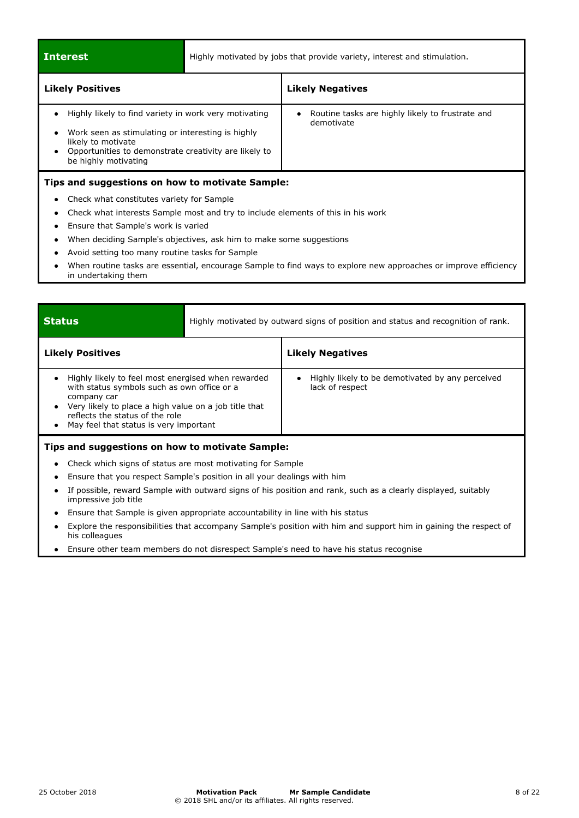| <b>Interest</b>                                                                                                                                                                                                                     | Highly motivated by jobs that provide variety, interest and stimulation. |                                                                |  |  |
|-------------------------------------------------------------------------------------------------------------------------------------------------------------------------------------------------------------------------------------|--------------------------------------------------------------------------|----------------------------------------------------------------|--|--|
| <b>Likely Positives</b>                                                                                                                                                                                                             |                                                                          | <b>Likely Negatives</b>                                        |  |  |
| Highly likely to find variety in work very motivating<br>Work seen as stimulating or interesting is highly<br>٠<br>likely to motivate<br>Opportunities to demonstrate creativity are likely to<br>$\bullet$<br>be highly motivating |                                                                          | Routine tasks are highly likely to frustrate and<br>demotivate |  |  |
| Tips and suggestions on how to motivate Sample:<br>Check what constitutes variety for Sample<br>$\bullet$<br>Check what interests Sample most and try to include elements of this in his work<br>$\bullet$                          |                                                                          |                                                                |  |  |

- Ensure that Sample's work is varied
- When deciding Sample's objectives, ask him to make some suggestions
- Avoid setting too many routine tasks for Sample
- When routine tasks are essential, encourage Sample to find ways to explore new approaches or improve efficiency in undertaking them

| <b>Status</b>                                                                                                                                                                                                                                          |  | Highly motivated by outward signs of position and status and recognition of rank. |  |
|--------------------------------------------------------------------------------------------------------------------------------------------------------------------------------------------------------------------------------------------------------|--|-----------------------------------------------------------------------------------|--|
| <b>Likely Positives</b>                                                                                                                                                                                                                                |  | <b>Likely Negatives</b>                                                           |  |
| Highly likely to feel most energised when rewarded<br>with status symbols such as own office or a<br>company car<br>Very likely to place a high value on a job title that<br>reflects the status of the role<br>May feel that status is very important |  | Highly likely to be demotivated by any perceived<br>lack of respect               |  |
| Tips and suggestions on how to motivate Sample:                                                                                                                                                                                                        |  |                                                                                   |  |

- Check which signs of status are most motivating for Sample
- Ensure that you respect Sample's position in all your dealings with him
- If possible, reward Sample with outward signs of his position and rank, such as a clearly displayed, suitably impressive job title
- Ensure that Sample is given appropriate accountability in line with his status
- Explore the responsibilities that accompany Sample's position with him and support him in gaining the respect of his colleagues
- Ensure other team members do not disrespect Sample's need to have his status recognise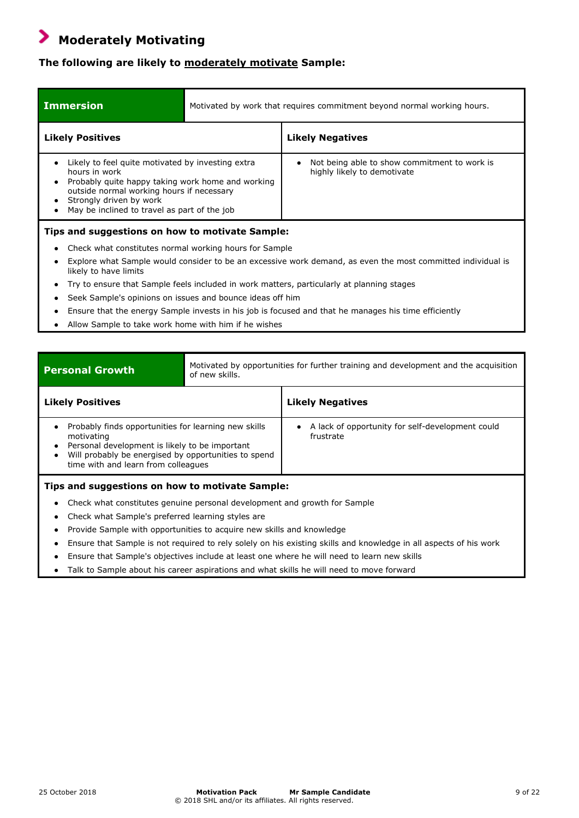#### ⋗  **Moderately Motivating**

## **The following are likely to moderately motivate Sample:**

| <b>Immersion</b>                                                                                                                                                                                                                                | Motivated by work that requires commitment beyond normal working hours.                                     |                                                                             |  |
|-------------------------------------------------------------------------------------------------------------------------------------------------------------------------------------------------------------------------------------------------|-------------------------------------------------------------------------------------------------------------|-----------------------------------------------------------------------------|--|
| <b>Likely Positives</b>                                                                                                                                                                                                                         |                                                                                                             | <b>Likely Negatives</b>                                                     |  |
| Likely to feel quite motivated by investing extra<br>hours in work<br>Probably quite happy taking work home and working<br>outside normal working hours if necessary<br>Strongly driven by work<br>May be inclined to travel as part of the job |                                                                                                             | Not being able to show commitment to work is<br>highly likely to demotivate |  |
|                                                                                                                                                                                                                                                 | Tips and suggestions on how to motivate Sample:                                                             |                                                                             |  |
| Check what constitutes normal working hours for Sample                                                                                                                                                                                          |                                                                                                             |                                                                             |  |
| likely to have limits                                                                                                                                                                                                                           | Explore what Sample would consider to be an excessive work demand, as even the most committed individual is |                                                                             |  |
|                                                                                                                                                                                                                                                 | Try to ensure that Sample feels included in work matters, particularly at planning stages                   |                                                                             |  |
|                                                                                                                                                                                                                                                 | Seek Sample's opinions on issues and bounce ideas off him                                                   |                                                                             |  |
|                                                                                                                                                                                                                                                 | Ensure that the energy Sample invests in his job is focused and that he manages his time efficiently        |                                                                             |  |

● Allow Sample to take work home with him if he wishes

| <b>Personal Growth</b><br>of new skills.                                                                                                                                                                                 |  | Motivated by opportunities for further training and development and the acquisition |  |
|--------------------------------------------------------------------------------------------------------------------------------------------------------------------------------------------------------------------------|--|-------------------------------------------------------------------------------------|--|
| <b>Likely Positives</b>                                                                                                                                                                                                  |  | <b>Likely Negatives</b>                                                             |  |
| Probably finds opportunities for learning new skills<br>motivating<br>Personal development is likely to be important<br>٠<br>Will probably be energised by opportunities to spend<br>time with and learn from colleagues |  | A lack of opportunity for self-development could<br>frustrate                       |  |
| Tips and suggestions on how to motivate Sample:<br>Check what constitutes genuine personal development and growth for Sample<br>٠<br>Check what Sample's preferred learning styles are<br>٠                              |  |                                                                                     |  |

- Provide Sample with opportunities to acquire new skills and knowledge
- Ensure that Sample is not required to rely solely on his existing skills and knowledge in all aspects of his work
- Ensure that Sample's objectives include at least one where he will need to learn new skills
- Talk to Sample about his career aspirations and what skills he will need to move forward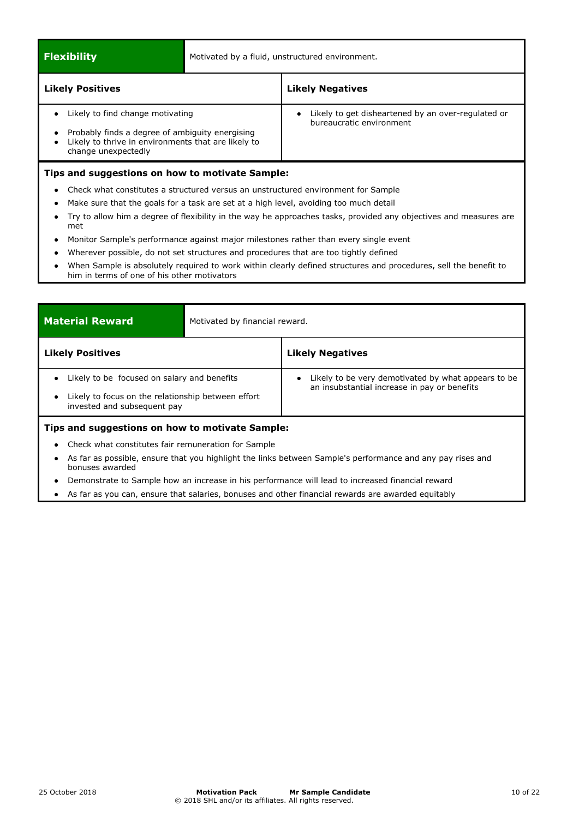**Flexibility** Motivated by a fluid, unstructured environment.

| <b>Likely Positives</b>                                                                                                                                           | <b>Likely Negatives</b>                                                        |  |  |
|-------------------------------------------------------------------------------------------------------------------------------------------------------------------|--------------------------------------------------------------------------------|--|--|
| Likely to find change motivating<br>Probably finds a degree of ambiguity energising<br>Likely to thrive in environments that are likely to<br>change unexpectedly | Likely to get disheartened by an over-regulated or<br>bureaucratic environment |  |  |
| Tips and suggestions on how to motivate Sample:                                                                                                                   |                                                                                |  |  |
| Check what constitutes a structured versus an unstructured environment for Sample                                                                                 |                                                                                |  |  |

- Make sure that the goals for a task are set at a high level, avoiding too much detail
- Try to allow him a degree of flexibility in the way he approaches tasks, provided any objectives and measures are met
- Monitor Sample's performance against major milestones rather than every single event
- Wherever possible, do not set structures and procedures that are too tightly defined
- When Sample is absolutely required to work within clearly defined structures and procedures, sell the benefit to him in terms of one of his other motivators

| <b>Material Reward</b><br>Motivated by financial reward.                                                                                                   |  |                                                                                                       |  |
|------------------------------------------------------------------------------------------------------------------------------------------------------------|--|-------------------------------------------------------------------------------------------------------|--|
| <b>Likely Positives</b>                                                                                                                                    |  | <b>Likely Negatives</b>                                                                               |  |
| Likely to be focused on salary and benefits<br>$\bullet$<br>Likely to focus on the relationship between effort<br>$\bullet$<br>invested and subsequent pay |  | • Likely to be very demotivated by what appears to be<br>an insubstantial increase in pay or benefits |  |
| Tips and suggestions on how to motivate Sample:                                                                                                            |  |                                                                                                       |  |
| Check what constitutes fair remuneration for Sample<br>٠                                                                                                   |  |                                                                                                       |  |

- As far as possible, ensure that you highlight the links between Sample's performance and any pay rises and bonuses awarded
- Demonstrate to Sample how an increase in his performance will lead to increased financial reward
- As far as you can, ensure that salaries, bonuses and other financial rewards are awarded equitably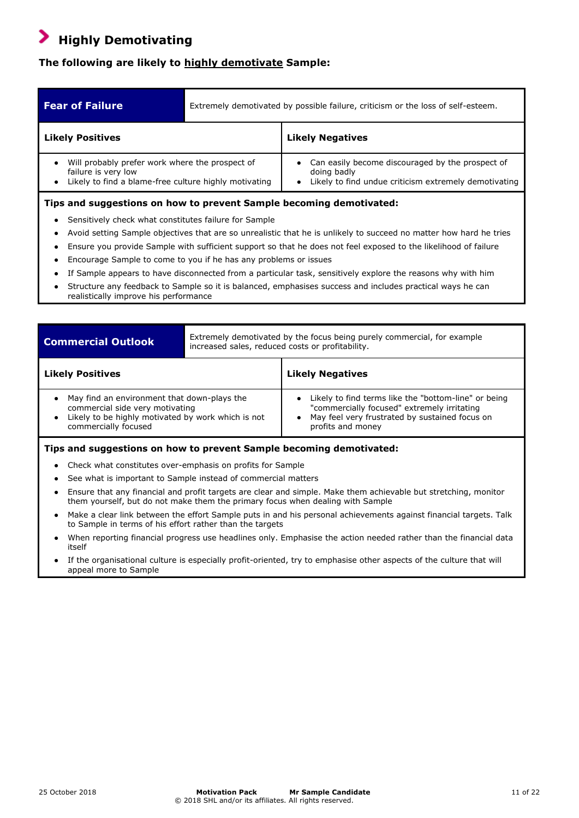## **Highly Demotivating**

## **The following are likely to highly demotivate Sample:**

| <b>Fear of Failure</b>                                                                                                            | Extremely demotivated by possible failure, criticism or the loss of self-esteem. |                                                                                                                          |
|-----------------------------------------------------------------------------------------------------------------------------------|----------------------------------------------------------------------------------|--------------------------------------------------------------------------------------------------------------------------|
| <b>Likely Positives</b>                                                                                                           |                                                                                  | <b>Likely Negatives</b>                                                                                                  |
| Will probably prefer work where the prospect of<br>failure is very low<br>• Likely to find a blame-free culture highly motivating |                                                                                  | Can easily become discouraged by the prospect of<br>doing badly<br>Likely to find undue criticism extremely demotivating |
| Tips and suggestions on how to prevent Sample becoming demotivated:                                                               |                                                                                  |                                                                                                                          |

- Sensitively check what constitutes failure for Sample
- Avoid setting Sample objectives that are so unrealistic that he is unlikely to succeed no matter how hard he tries
- Ensure you provide Sample with sufficient support so that he does not feel exposed to the likelihood of failure
- Encourage Sample to come to you if he has any problems or issues
- If Sample appears to have disconnected from a particular task, sensitively explore the reasons why with him
- Structure any feedback to Sample so it is balanced, emphasises success and includes practical ways he can realistically improve his performance

| <b>Commercial Outlook</b>                                                                                                                                    | Extremely demotivated by the focus being purely commercial, for example<br>increased sales, reduced costs or profitability. |                                                                                                                                                                            |
|--------------------------------------------------------------------------------------------------------------------------------------------------------------|-----------------------------------------------------------------------------------------------------------------------------|----------------------------------------------------------------------------------------------------------------------------------------------------------------------------|
| <b>Likely Positives</b>                                                                                                                                      |                                                                                                                             | <b>Likely Negatives</b>                                                                                                                                                    |
| May find an environment that down-plays the<br>commercial side very motivating<br>Likely to be highly motivated by work which is not<br>commercially focused |                                                                                                                             | Likely to find terms like the "bottom-line" or being<br>"commercially focused" extremely irritating<br>May feel very frustrated by sustained focus on<br>profits and money |
| Tips and suggestions on how to prevent Sample becoming demotivated:                                                                                          |                                                                                                                             |                                                                                                                                                                            |

- Check what constitutes over-emphasis on profits for Sample
- See what is important to Sample instead of commercial matters
- Ensure that any financial and profit targets are clear and simple. Make them achievable but stretching, monitor them yourself, but do not make them the primary focus when dealing with Sample
- Make a clear link between the effort Sample puts in and his personal achievements against financial targets. Talk to Sample in terms of his effort rather than the targets
- When reporting financial progress use headlines only. Emphasise the action needed rather than the financial data itself
- If the organisational culture is especially profit-oriented, try to emphasise other aspects of the culture that will appeal more to Sample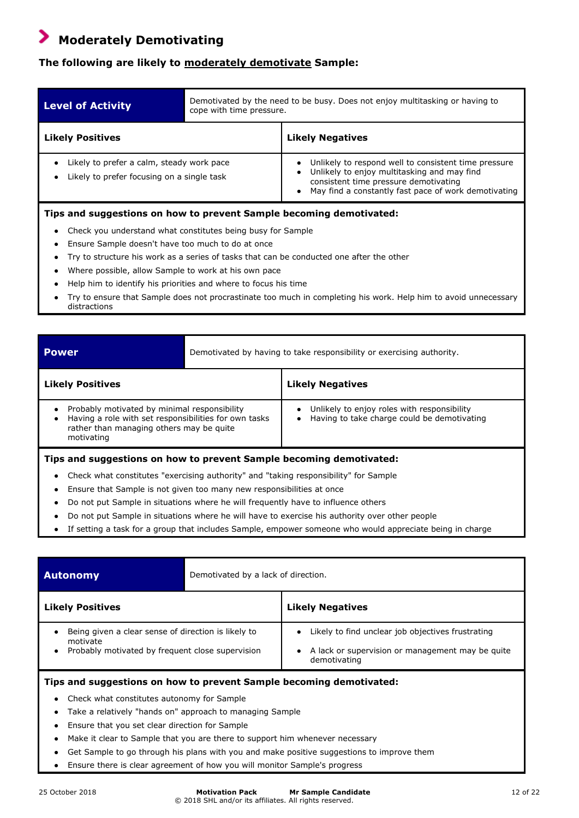## **Moderately Demotivating**

### **The following are likely to moderately demotivate Sample:**

| <b>Level of Activity</b>                                                                             | Demotivated by the need to be busy. Does not enjoy multitasking or having to<br>cope with time pressure. |                                                                                                                                                                                                      |
|------------------------------------------------------------------------------------------------------|----------------------------------------------------------------------------------------------------------|------------------------------------------------------------------------------------------------------------------------------------------------------------------------------------------------------|
| <b>Likely Positives</b>                                                                              |                                                                                                          | <b>Likely Negatives</b>                                                                                                                                                                              |
| Likely to prefer a calm, steady work pace<br>Likely to prefer focusing on a single task<br>$\bullet$ |                                                                                                          | Unlikely to respond well to consistent time pressure<br>Unlikely to enjoy multitasking and may find<br>consistent time pressure demotivating<br>May find a constantly fast pace of work demotivating |

### **Tips and suggestions on how to prevent Sample becoming demotivated:**

- Check you understand what constitutes being busy for Sample
- Ensure Sample doesn't have too much to do at once
- Try to structure his work as a series of tasks that can be conducted one after the other
- Where possible, allow Sample to work at his own pace
- Help him to identify his priorities and where to focus his time
- Try to ensure that Sample does not procrastinate too much in completing his work. Help him to avoid unnecessary distractions

| <b>Power</b>                                                                                                                                                    | Demotivated by having to take responsibility or exercising authority. |                                                                                            |
|-----------------------------------------------------------------------------------------------------------------------------------------------------------------|-----------------------------------------------------------------------|--------------------------------------------------------------------------------------------|
| <b>Likely Positives</b>                                                                                                                                         |                                                                       | <b>Likely Negatives</b>                                                                    |
| Probably motivated by minimal responsibility<br>Having a role with set responsibilities for own tasks<br>rather than managing others may be quite<br>motivating |                                                                       | Unlikely to enjoy roles with responsibility<br>Having to take charge could be demotivating |
| Tips and suggestions on how to prevent Sample becoming demotivated:                                                                                             |                                                                       |                                                                                            |

- Check what constitutes "exercising authority" and "taking responsibility" for Sample
- Ensure that Sample is not given too many new responsibilities at once
- Do not put Sample in situations where he will frequently have to influence others
- Do not put Sample in situations where he will have to exercise his authority over other people
- If setting a task for a group that includes Sample, empower someone who would appreciate being in charge

| <b>Autonomy</b>                                                                                                                               | Demotivated by a lack of direction. |                                                                                                                       |
|-----------------------------------------------------------------------------------------------------------------------------------------------|-------------------------------------|-----------------------------------------------------------------------------------------------------------------------|
| <b>Likely Positives</b>                                                                                                                       |                                     | <b>Likely Negatives</b>                                                                                               |
| Being given a clear sense of direction is likely to<br>$\bullet$<br>motivate<br>Probably motivated by frequent close supervision<br>$\bullet$ |                                     | Likely to find unclear job objectives frustrating<br>A lack or supervision or management may be quite<br>demotivating |

- **Tips and suggestions on how to prevent Sample becoming demotivated:**
	- Check what constitutes autonomy for Sample
	- Take a relatively "hands on" approach to managing Sample
	- Ensure that you set clear direction for Sample
	- Make it clear to Sample that you are there to support him whenever necessary
	- Get Sample to go through his plans with you and make positive suggestions to improve them
	- Ensure there is clear agreement of how you will monitor Sample's progress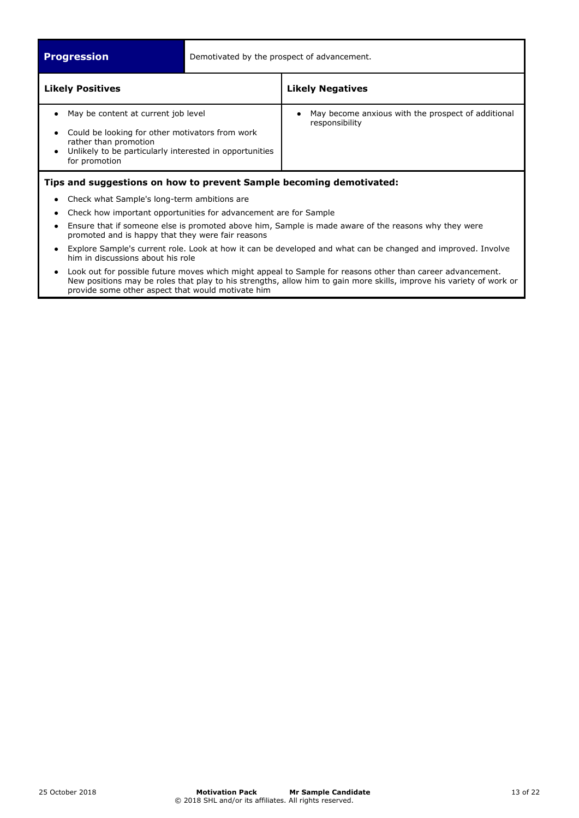**Progression** Demotivated by the prospect of advancement.

| <b>Likely Positives</b>                                                                                                                                                                     | <b>Likely Negatives</b>                                              |
|---------------------------------------------------------------------------------------------------------------------------------------------------------------------------------------------|----------------------------------------------------------------------|
| May be content at current job level<br>Could be looking for other motivators from work<br>rather than promotion<br>Unlikely to be particularly interested in opportunities<br>for promotion | May become anxious with the prospect of additional<br>responsibility |
| Tips and suggestions on how to prevent Sample becoming demotivated:                                                                                                                         |                                                                      |

- Check what Sample's long-term ambitions are
- Check how important opportunities for advancement are for Sample
- Ensure that if someone else is promoted above him, Sample is made aware of the reasons why they were promoted and is happy that they were fair reasons
- Explore Sample's current role. Look at how it can be developed and what can be changed and improved. Involve him in discussions about his role
- Look out for possible future moves which might appeal to Sample for reasons other than career advancement. New positions may be roles that play to his strengths, allow him to gain more skills, improve his variety of work or provide some other aspect that would motivate him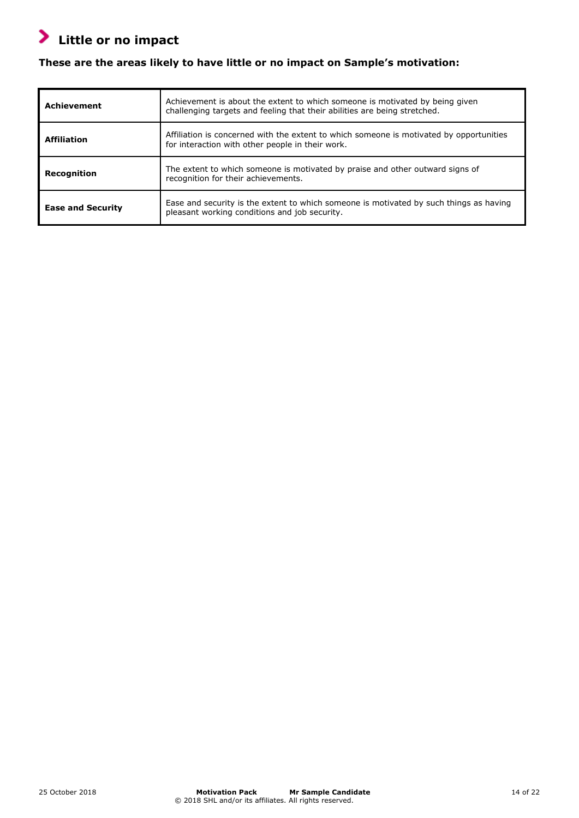## **Little or no impact**

## **These are the areas likely to have little or no impact on Sample's motivation:**

| <b>Achievement</b>       | Achievement is about the extent to which someone is motivated by being given<br>challenging targets and feeling that their abilities are being stretched. |
|--------------------------|-----------------------------------------------------------------------------------------------------------------------------------------------------------|
| <b>Affiliation</b>       | Affiliation is concerned with the extent to which someone is motivated by opportunities<br>for interaction with other people in their work.               |
| Recognition              | The extent to which someone is motivated by praise and other outward signs of<br>recognition for their achievements.                                      |
| <b>Ease and Security</b> | Ease and security is the extent to which someone is motivated by such things as having<br>pleasant working conditions and job security.                   |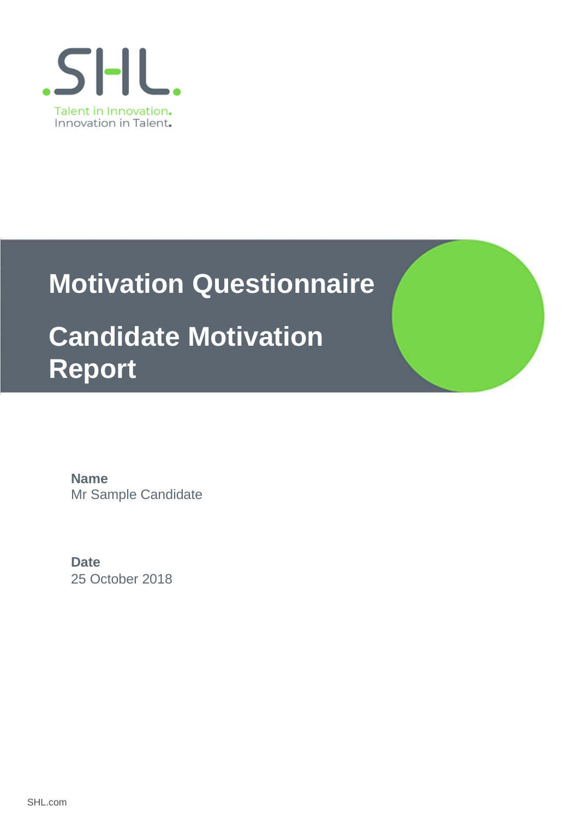

# **Motivation Questionnaire**

## **Candidate Motivation Report**

Mr Sample Candidate **Name**

25 October 2018 **Date**

SHL.com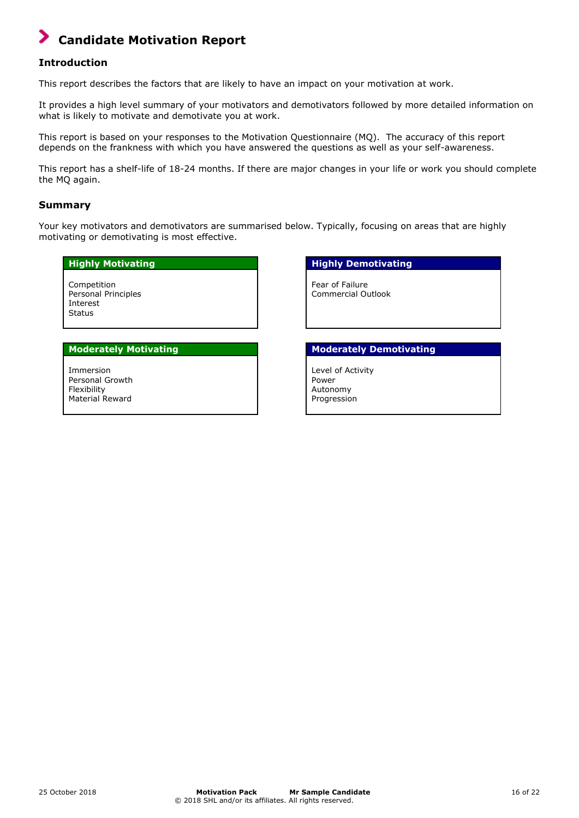## **Candidate Motivation Report**

### **Introduction**

This report describes the factors that are likely to have an impact on your motivation at work.

It provides a high level summary of your motivators and demotivators followed by more detailed information on what is likely to motivate and demotivate you at work.

This report is based on your responses to the Motivation Questionnaire (MQ). The accuracy of this report depends on the frankness with which you have answered the questions as well as your self-awareness.

This report has a shelf-life of 18-24 months. If there are major changes in your life or work you should complete the MQ again.

### **Summary**

Your key motivators and demotivators are summarised below. Typically, focusing on areas that are highly motivating or demotivating is most effective.

Competition Personal Principles Interest **Status** 

Immersion Personal Growth Flexibility Material Reward

### **Highly Motivating The Contract of the Highly Demotivating**

Fear of Failure Commercial Outlook

### **Moderately Motivating Moderately Demotivating**

Level of Activity Power Autonomy Progression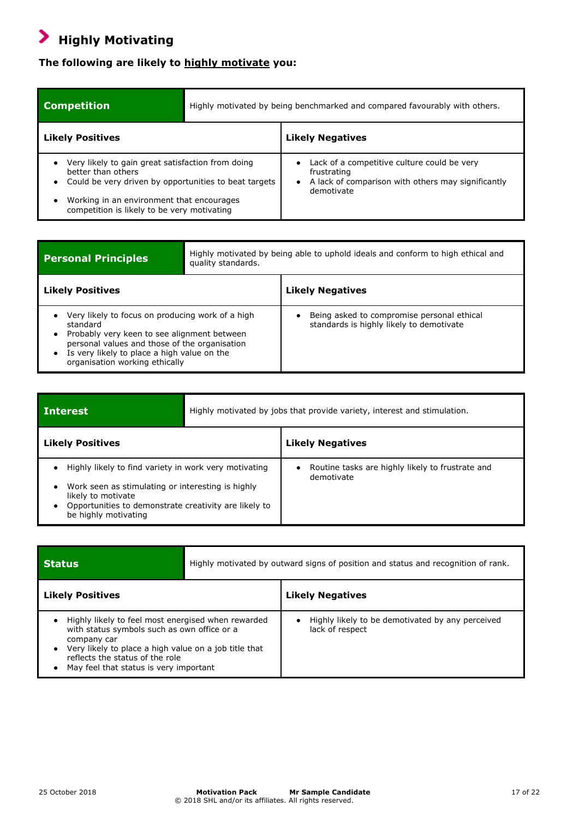## **Highly Motivating**

## **The following are likely to highly motivate you:**

| <b>Competition</b>                                                                                                                                                                                                           | Highly motivated by being benchmarked and compared favourably with others. |                                                                                                                                |
|------------------------------------------------------------------------------------------------------------------------------------------------------------------------------------------------------------------------------|----------------------------------------------------------------------------|--------------------------------------------------------------------------------------------------------------------------------|
| <b>Likely Positives</b>                                                                                                                                                                                                      |                                                                            | <b>Likely Negatives</b>                                                                                                        |
| Very likely to gain great satisfaction from doing<br>better than others<br>Could be very driven by opportunities to beat targets<br>Working in an environment that encourages<br>competition is likely to be very motivating |                                                                            | Lack of a competitive culture could be very<br>frustrating<br>A lack of comparison with others may significantly<br>demotivate |

| <b>Personal Principles</b>                                                                                                                                                                                                                    | Highly motivated by being able to uphold ideals and conform to high ethical and<br>quality standards. |                                                                                        |
|-----------------------------------------------------------------------------------------------------------------------------------------------------------------------------------------------------------------------------------------------|-------------------------------------------------------------------------------------------------------|----------------------------------------------------------------------------------------|
| <b>Likely Positives</b>                                                                                                                                                                                                                       |                                                                                                       | <b>Likely Negatives</b>                                                                |
| Very likely to focus on producing work of a high<br>standard<br>Probably very keen to see alignment between<br>personal values and those of the organisation<br>Is very likely to place a high value on the<br>organisation working ethically |                                                                                                       | Being asked to compromise personal ethical<br>standards is highly likely to demotivate |

| <b>Interest</b>                                                                                                                                                                                                                             | Highly motivated by jobs that provide variety, interest and stimulation. |                                                                |
|---------------------------------------------------------------------------------------------------------------------------------------------------------------------------------------------------------------------------------------------|--------------------------------------------------------------------------|----------------------------------------------------------------|
| <b>Likely Positives</b>                                                                                                                                                                                                                     |                                                                          | <b>Likely Negatives</b>                                        |
| Highly likely to find variety in work very motivating<br>$\bullet$<br>Work seen as stimulating or interesting is highly<br>$\bullet$<br>likely to motivate<br>Opportunities to demonstrate creativity are likely to<br>be highly motivating |                                                                          | Routine tasks are highly likely to frustrate and<br>demotivate |

| <b>Status</b>                                                                                                                                                                                                                                          | Highly motivated by outward signs of position and status and recognition of rank. |                                                                     |
|--------------------------------------------------------------------------------------------------------------------------------------------------------------------------------------------------------------------------------------------------------|-----------------------------------------------------------------------------------|---------------------------------------------------------------------|
| <b>Likely Positives</b>                                                                                                                                                                                                                                |                                                                                   | <b>Likely Negatives</b>                                             |
| Highly likely to feel most energised when rewarded<br>with status symbols such as own office or a<br>company car<br>Very likely to place a high value on a job title that<br>reflects the status of the role<br>May feel that status is very important |                                                                                   | Highly likely to be demotivated by any perceived<br>lack of respect |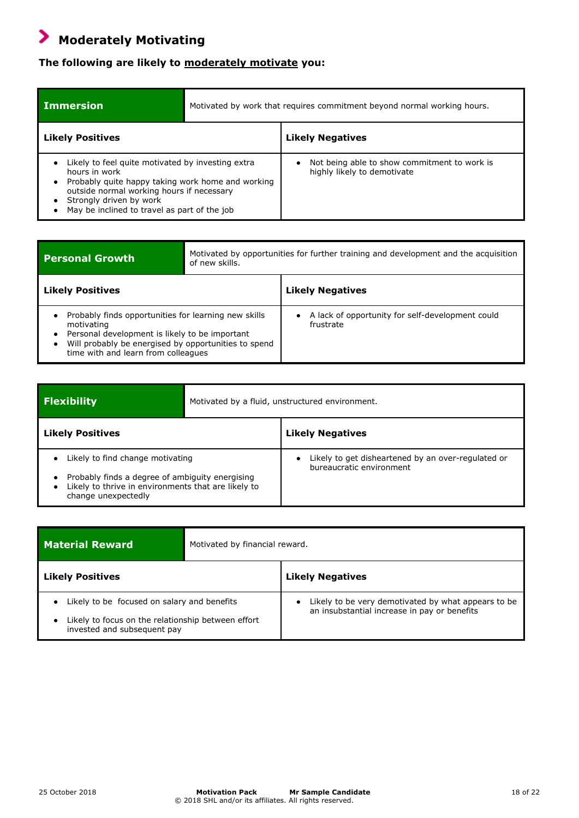## **Moderately Motivating**

## **The following are likely to moderately motivate you:**

| <b>Immersion</b>                                                                                                                                                                                                                                |  | Motivated by work that requires commitment beyond normal working hours.     |
|-------------------------------------------------------------------------------------------------------------------------------------------------------------------------------------------------------------------------------------------------|--|-----------------------------------------------------------------------------|
| <b>Likely Positives</b>                                                                                                                                                                                                                         |  | <b>Likely Negatives</b>                                                     |
| Likely to feel quite motivated by investing extra<br>hours in work<br>Probably quite happy taking work home and working<br>outside normal working hours if necessary<br>Strongly driven by work<br>May be inclined to travel as part of the job |  | Not being able to show commitment to work is<br>highly likely to demotivate |

| <b>Personal Growth</b>                                                                                                                                                                                              | Motivated by opportunities for further training and development and the acquisition<br>of new skills. |                                                               |
|---------------------------------------------------------------------------------------------------------------------------------------------------------------------------------------------------------------------|-------------------------------------------------------------------------------------------------------|---------------------------------------------------------------|
| <b>Likely Positives</b>                                                                                                                                                                                             |                                                                                                       | <b>Likely Negatives</b>                                       |
| Probably finds opportunities for learning new skills<br>motivating<br>Personal development is likely to be important<br>Will probably be energised by opportunities to spend<br>time with and learn from colleagues |                                                                                                       | A lack of opportunity for self-development could<br>frustrate |

| <b>Flexibility</b>                                                                                                                                                                          | Motivated by a fluid, unstructured environment.                                |
|---------------------------------------------------------------------------------------------------------------------------------------------------------------------------------------------|--------------------------------------------------------------------------------|
| <b>Likely Positives</b>                                                                                                                                                                     | <b>Likely Negatives</b>                                                        |
| Likely to find change motivating<br>$\bullet$<br>Probably finds a degree of ambiguity energising<br>Likely to thrive in environments that are likely to<br>$\bullet$<br>change unexpectedly | Likely to get disheartened by an over-regulated or<br>bureaucratic environment |

| <b>Material Reward</b>                                                            | Motivated by financial reward. |                                                                                                                  |
|-----------------------------------------------------------------------------------|--------------------------------|------------------------------------------------------------------------------------------------------------------|
| <b>Likely Positives</b>                                                           |                                | <b>Likely Negatives</b>                                                                                          |
| Likely to be focused on salary and benefits                                       |                                | Likely to be very demotivated by what appears to be<br>$\bullet$<br>an insubstantial increase in pay or benefits |
| Likely to focus on the relationship between effort<br>invested and subsequent pay |                                |                                                                                                                  |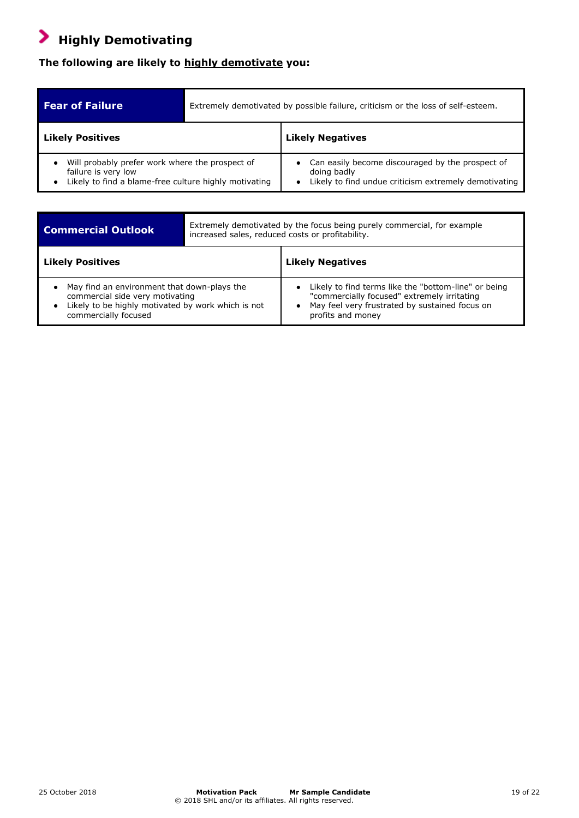## **Highly Demotivating**

.

## **The following are likely to highly demotivate you:**

| <b>Fear of Failure</b>                                                                                                          | Extremely demotivated by possible failure, criticism or the loss of self-esteem.                                         |
|---------------------------------------------------------------------------------------------------------------------------------|--------------------------------------------------------------------------------------------------------------------------|
| <b>Likely Positives</b>                                                                                                         | <b>Likely Negatives</b>                                                                                                  |
| Will probably prefer work where the prospect of<br>failure is very low<br>Likely to find a blame-free culture highly motivating | Can easily become discouraged by the prospect of<br>doing badly<br>Likely to find undue criticism extremely demotivating |

| <b>Commercial Outlook</b>                                                                                                                                                      | increased sales, reduced costs or profitability. | Extremely demotivated by the focus being purely commercial, for example                                                                                                    |
|--------------------------------------------------------------------------------------------------------------------------------------------------------------------------------|--------------------------------------------------|----------------------------------------------------------------------------------------------------------------------------------------------------------------------------|
| <b>Likely Positives</b>                                                                                                                                                        |                                                  | <b>Likely Negatives</b>                                                                                                                                                    |
| May find an environment that down-plays the<br>٠<br>commercial side very motivating<br>Likely to be highly motivated by work which is not<br>$\bullet$<br>commercially focused |                                                  | Likely to find terms like the "bottom-line" or being<br>"commercially focused" extremely irritating<br>May feel very frustrated by sustained focus on<br>profits and money |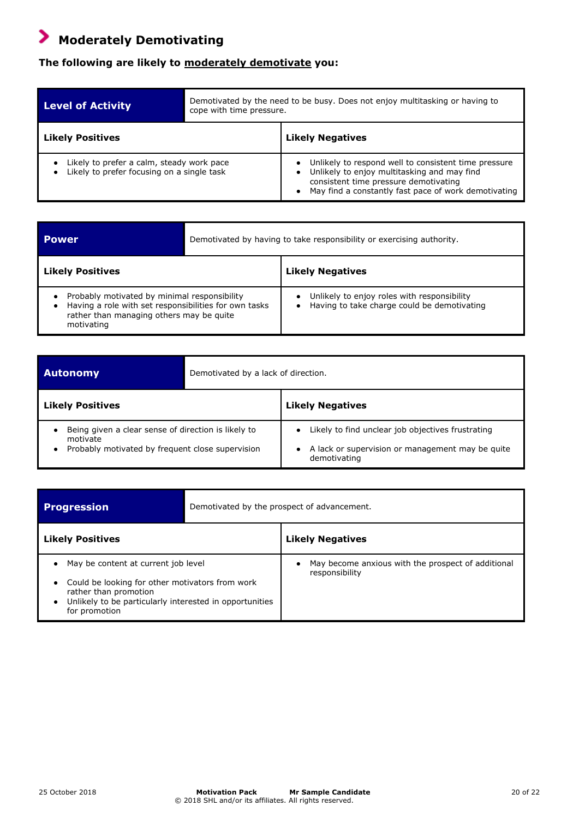## **Moderately Demotivating**

## **The following are likely to moderately demotivate you:**

| <b>Level of Activity</b>                                                                | Demotivated by the need to be busy. Does not enjoy multitasking or having to<br>cope with time pressure. |                                                                                                                                                                                                      |
|-----------------------------------------------------------------------------------------|----------------------------------------------------------------------------------------------------------|------------------------------------------------------------------------------------------------------------------------------------------------------------------------------------------------------|
| <b>Likely Positives</b>                                                                 |                                                                                                          | <b>Likely Negatives</b>                                                                                                                                                                              |
| Likely to prefer a calm, steady work pace<br>Likely to prefer focusing on a single task |                                                                                                          | Unlikely to respond well to consistent time pressure<br>Unlikely to enjoy multitasking and may find<br>consistent time pressure demotivating<br>May find a constantly fast pace of work demotivating |

| <b>Power</b>                                                                                                                                                    | Demotivated by having to take responsibility or exercising authority.                      |
|-----------------------------------------------------------------------------------------------------------------------------------------------------------------|--------------------------------------------------------------------------------------------|
| <b>Likely Positives</b>                                                                                                                                         | <b>Likely Negatives</b>                                                                    |
| Probably motivated by minimal responsibility<br>Having a role with set responsibilities for own tasks<br>rather than managing others may be quite<br>motivating | Unlikely to enjoy roles with responsibility<br>Having to take charge could be demotivating |

| <b>Autonomy</b>                                                                                                     | Demotivated by a lack of direction. |                                                                                                                       |
|---------------------------------------------------------------------------------------------------------------------|-------------------------------------|-----------------------------------------------------------------------------------------------------------------------|
| <b>Likely Positives</b>                                                                                             |                                     | <b>Likely Negatives</b>                                                                                               |
| Being given a clear sense of direction is likely to<br>motivate<br>Probably motivated by frequent close supervision |                                     | Likely to find unclear job objectives frustrating<br>A lack or supervision or management may be quite<br>demotivating |

| <b>Progression</b>                                                                                                                                                                                                      | Demotivated by the prospect of advancement. |                                                                      |
|-------------------------------------------------------------------------------------------------------------------------------------------------------------------------------------------------------------------------|---------------------------------------------|----------------------------------------------------------------------|
| <b>Likely Positives</b>                                                                                                                                                                                                 |                                             | <b>Likely Negatives</b>                                              |
| May be content at current job level<br>$\bullet$<br>Could be looking for other motivators from work<br>$\bullet$<br>rather than promotion<br>• Unlikely to be particularly interested in opportunities<br>for promotion |                                             | May become anxious with the prospect of additional<br>responsibility |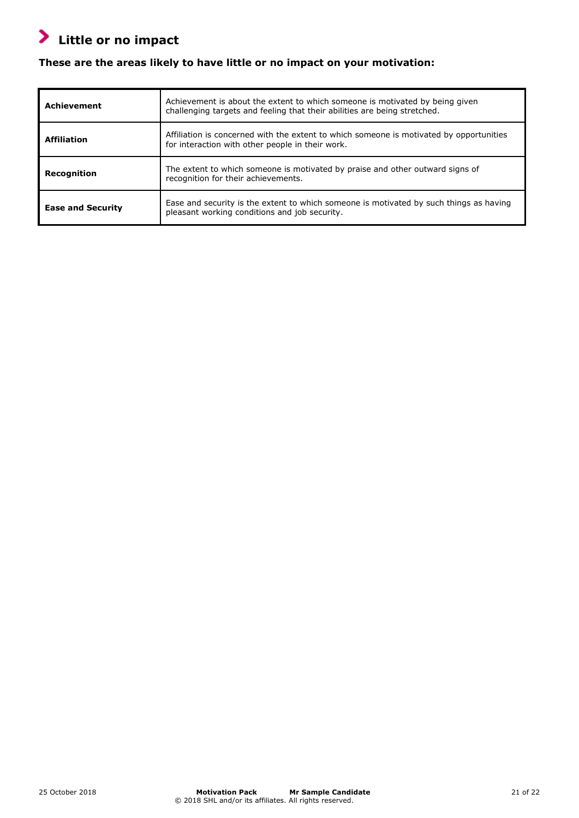## **Little or no impact**

## **These are the areas likely to have little or no impact on your motivation:**

| <b>Achievement</b>       | Achievement is about the extent to which someone is motivated by being given<br>challenging targets and feeling that their abilities are being stretched. |
|--------------------------|-----------------------------------------------------------------------------------------------------------------------------------------------------------|
| <b>Affiliation</b>       | Affiliation is concerned with the extent to which someone is motivated by opportunities<br>for interaction with other people in their work.               |
| Recognition              | The extent to which someone is motivated by praise and other outward signs of<br>recognition for their achievements.                                      |
| <b>Ease and Security</b> | Ease and security is the extent to which someone is motivated by such things as having<br>pleasant working conditions and job security.                   |